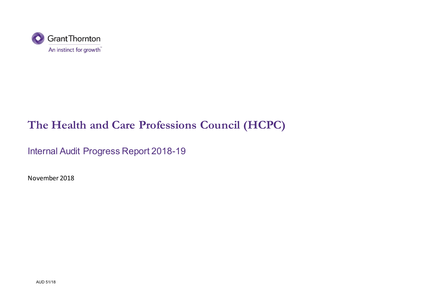

# **The Health and Care Professions Council (HCPC)**

Internal Audit Progress Report 2018-19

November 2018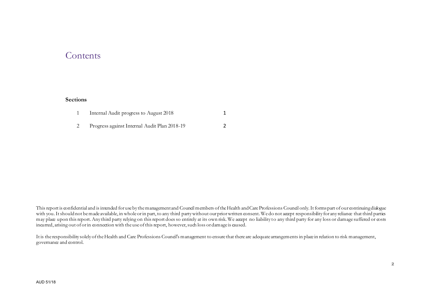### **Contents**

#### **Sections**

| Internal Audit progress to August 2018       |  |
|----------------------------------------------|--|
| Progress against Internal Audit Plan 2018-19 |  |

This report is confidential and is intended for use by the management and Council members of the Health and Care Professions Council only. It forms part of our continuing dialogue with you. It should not be made available, in whole or in part, to any third party without our prior written consent. We do not accept responsibility for any reliance that third parties may place upon this report. Any third party relying on this report does so entirely at its own risk. We accept no liability to any third party for any loss or damage suffered or costs incurred, arising out of or in connection with the use of this report, however,such loss or damage is caused.

It is the responsibility solely of the Health and Care Professions Council's management to ensure that there are adequate arrangements in place in relation to risk management, governance and control.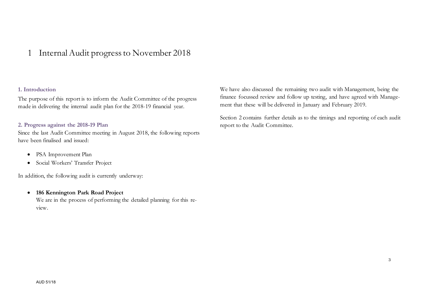### 1 Internal Audit progress to November 2018

### **1. Introduction**

The purpose of this report is to inform the Audit Committee of the progress made in delivering the internal audit plan for the 2018-19 financial year.

#### **2. Progress against the 2018-19 Plan**

Since the last Audit Committee meeting in August 2018, the following reports have been finalised and issued:

- PSA Improvement Plan
- Social Workers' Transfer Project

In addition, the following audit is currently underway:

 **186 Kennington Park Road Project** We are in the process of performing the detailed planning for this review.

We have also discussed the remaining two audit with Management, being the finance focussed review and follow up testing, and have agreed with Management that these will be delivered in January and February 2019.

Section 2 contains further details as to the timings and reporting of each audit report to the Audit Committee.